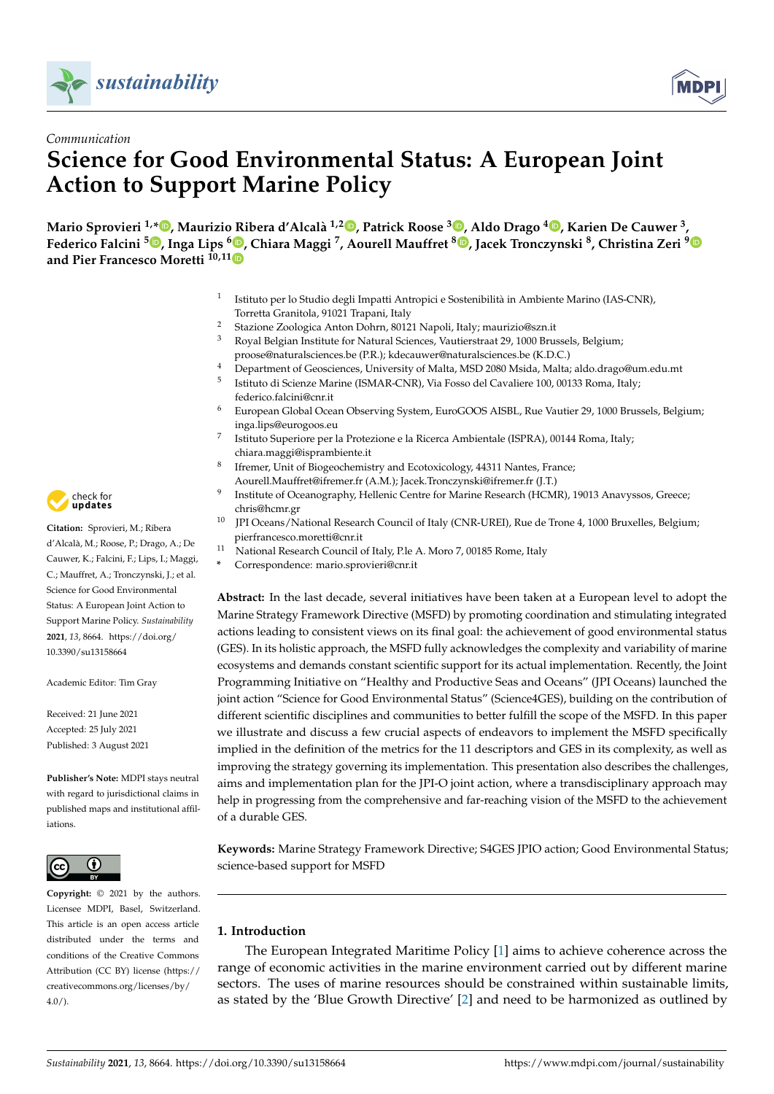



# *Communication* **Science for Good Environmental Status: A European Joint Action to Support Marine Policy**

**Mario Sprovieri 1,[\\*](https://orcid.org/0000-0002-7192-5014) , Maurizio Ribera d'Alcalà 1,2 [,](https://orcid.org/0000-0002-5492-9961) Patrick Roose <sup>3</sup> [,](https://orcid.org/0000-0002-2473-3618) Aldo Drago [4](https://orcid.org/0000-0003-2282-5700) , Karien De Cauwer <sup>3</sup> , Federico Falcini <sup>5</sup> [,](https://orcid.org/0000-0001-8105-2491) Inga Lips <sup>6</sup> [,](https://orcid.org/0000-0001-6556-6281) Chiara Maggi <sup>7</sup> , Aourell Mauffret <sup>8</sup> [,](https://orcid.org/0000-0002-6007-7849) Jacek Tronczynski <sup>8</sup> , Christina Zeri [9](https://orcid.org/0000-0003-2063-4708) and Pier Francesco Moretti 10,1[1](https://orcid.org/0000-0003-4244-6847)**

- 1 Istituto per lo Studio degli Impatti Antropici e Sostenibilità in Ambiente Marino (IAS-CNR), Torretta Granitola, 91021 Trapani, Italy
- <sup>2</sup> Stazione Zoologica Anton Dohrn, 80121 Napoli, Italy; maurizio@szn.it
- <sup>3</sup> Royal Belgian Institute for Natural Sciences, Vautierstraat 29, 1000 Brussels, Belgium; proose@naturalsciences.be (P.R.); kdecauwer@naturalsciences.be (K.D.C.)
- <sup>4</sup> Department of Geosciences, University of Malta, MSD 2080 Msida, Malta; aldo.drago@um.edu.mt
- 5 Istituto di Scienze Marine (ISMAR-CNR), Via Fosso del Cavaliere 100, 00133 Roma, Italy; federico.falcini@cnr.it
- <sup>6</sup> European Global Ocean Observing System, EuroGOOS AISBL, Rue Vautier 29, 1000 Brussels, Belgium; inga.lips@eurogoos.eu
- 7 Istituto Superiore per la Protezione e la Ricerca Ambientale (ISPRA), 00144 Roma, Italy; chiara.maggi@isprambiente.it
- 8 Ifremer, Unit of Biogeochemistry and Ecotoxicology, 44311 Nantes, France; Aourell.Mauffret@ifremer.fr (A.M.); Jacek.Tronczynski@ifremer.fr (J.T.)
- 9 Institute of Oceanography, Hellenic Centre for Marine Research (HCMR), 19013 Anavyssos, Greece; chris@hcmr.gr
- <sup>10</sup> JPI Oceans/National Research Council of Italy (CNR-UREI), Rue de Trone 4, 1000 Bruxelles, Belgium; pierfrancesco.moretti@cnr.it
- <sup>11</sup> National Research Council of Italy, P.le A. Moro 7, 00185 Rome, Italy
- **\*** Correspondence: mario.sprovieri@cnr.it

**Abstract:** In the last decade, several initiatives have been taken at a European level to adopt the Marine Strategy Framework Directive (MSFD) by promoting coordination and stimulating integrated actions leading to consistent views on its final goal: the achievement of good environmental status (GES). In its holistic approach, the MSFD fully acknowledges the complexity and variability of marine ecosystems and demands constant scientific support for its actual implementation. Recently, the Joint Programming Initiative on "Healthy and Productive Seas and Oceans" (JPI Oceans) launched the joint action "Science for Good Environmental Status" (Science4GES), building on the contribution of different scientific disciplines and communities to better fulfill the scope of the MSFD. In this paper we illustrate and discuss a few crucial aspects of endeavors to implement the MSFD specifically implied in the definition of the metrics for the 11 descriptors and GES in its complexity, as well as improving the strategy governing its implementation. This presentation also describes the challenges, aims and implementation plan for the JPI-O joint action, where a transdisciplinary approach may help in progressing from the comprehensive and far-reaching vision of the MSFD to the achievement of a durable GES.

**Keywords:** Marine Strategy Framework Directive; S4GES JPIO action; Good Environmental Status; science-based support for MSFD

# **1. Introduction**

The European Integrated Maritime Policy [\[1\]](#page-11-0) aims to achieve coherence across the range of economic activities in the marine environment carried out by different marine sectors. The uses of marine resources should be constrained within sustainable limits, as stated by the 'Blue Growth Directive' [\[2\]](#page-11-1) and need to be harmonized as outlined by



**Citation:** Sprovieri, M.; Ribera d'Alcalà, M.; Roose, P.; Drago, A.; De Cauwer, K.; Falcini, F.; Lips, I.; Maggi, C.; Mauffret, A.; Tronczynski, J.; et al. Science for Good Environmental Status: A European Joint Action to Support Marine Policy. *Sustainability* **2021**, *13*, 8664. [https://doi.org/](https://doi.org/10.3390/su13158664) [10.3390/su13158664](https://doi.org/10.3390/su13158664)

Academic Editor: Tim Gray

Received: 21 June 2021 Accepted: 25 July 2021 Published: 3 August 2021

**Publisher's Note:** MDPI stays neutral with regard to jurisdictional claims in published maps and institutional affiliations.



**Copyright:** © 2021 by the authors. Licensee MDPI, Basel, Switzerland. This article is an open access article distributed under the terms and conditions of the Creative Commons Attribution (CC BY) license (https:/[/](https://creativecommons.org/licenses/by/4.0/) [creativecommons.org/licenses/by/](https://creativecommons.org/licenses/by/4.0/)  $4.0/$ ).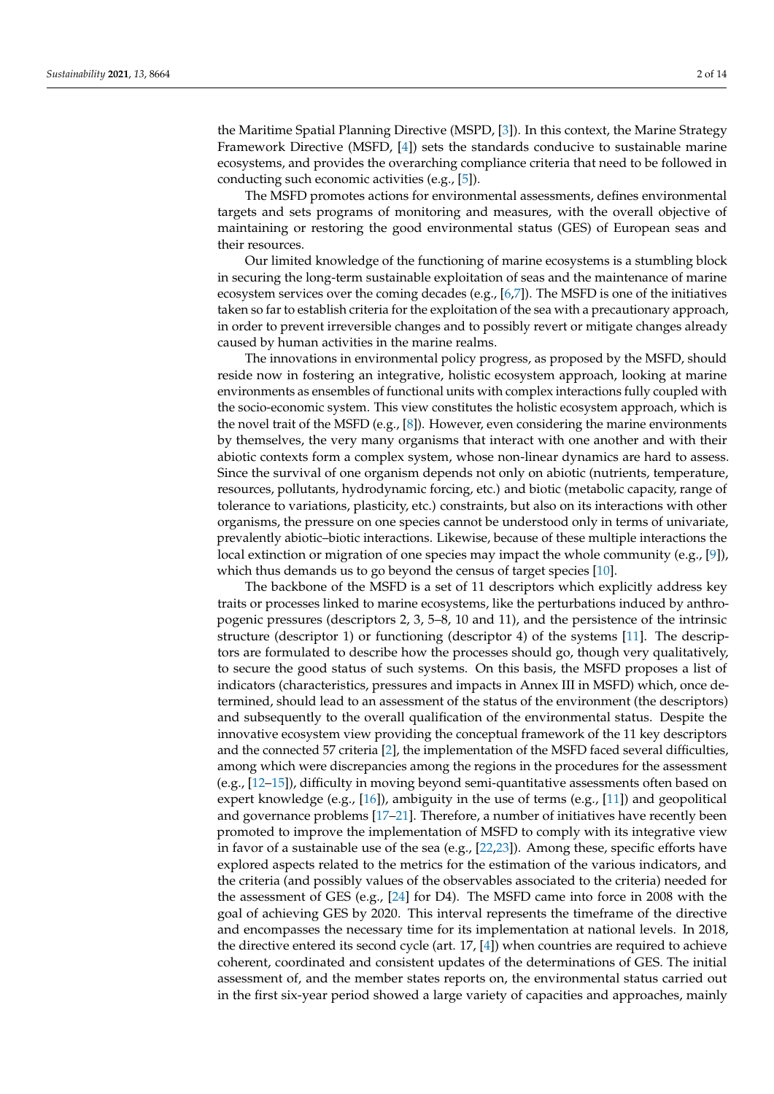the Maritime Spatial Planning Directive (MSPD, [\[3\]](#page-11-2)). In this context, the Marine Strategy Framework Directive (MSFD, [\[4\]](#page-11-3)) sets the standards conducive to sustainable marine ecosystems, and provides the overarching compliance criteria that need to be followed in conducting such economic activities (e.g., [\[5\]](#page-11-4)).

The MSFD promotes actions for environmental assessments, defines environmental targets and sets programs of monitoring and measures, with the overall objective of maintaining or restoring the good environmental status (GES) of European seas and their resources.

Our limited knowledge of the functioning of marine ecosystems is a stumbling block in securing the long-term sustainable exploitation of seas and the maintenance of marine ecosystem services over the coming decades (e.g., [\[6,](#page-11-5)[7\]](#page-11-6)). The MSFD is one of the initiatives taken so far to establish criteria for the exploitation of the sea with a precautionary approach, in order to prevent irreversible changes and to possibly revert or mitigate changes already caused by human activities in the marine realms.

The innovations in environmental policy progress, as proposed by the MSFD, should reside now in fostering an integrative, holistic ecosystem approach, looking at marine environments as ensembles of functional units with complex interactions fully coupled with the socio-economic system. This view constitutes the holistic ecosystem approach, which is the novel trait of the MSFD (e.g.,  $[8]$ ). However, even considering the marine environments by themselves, the very many organisms that interact with one another and with their abiotic contexts form a complex system, whose non-linear dynamics are hard to assess. Since the survival of one organism depends not only on abiotic (nutrients, temperature, resources, pollutants, hydrodynamic forcing, etc.) and biotic (metabolic capacity, range of tolerance to variations, plasticity, etc.) constraints, but also on its interactions with other organisms, the pressure on one species cannot be understood only in terms of univariate, prevalently abiotic–biotic interactions. Likewise, because of these multiple interactions the local extinction or migration of one species may impact the whole community (e.g., [\[9\]](#page-11-8)), which thus demands us to go beyond the census of target species [\[10\]](#page-11-9).

The backbone of the MSFD is a set of 11 descriptors which explicitly address key traits or processes linked to marine ecosystems, like the perturbations induced by anthropogenic pressures (descriptors 2, 3, 5–8, 10 and 11), and the persistence of the intrinsic structure (descriptor 1) or functioning (descriptor 4) of the systems [\[11\]](#page-11-10). The descriptors are formulated to describe how the processes should go, though very qualitatively, to secure the good status of such systems. On this basis, the MSFD proposes a list of indicators (characteristics, pressures and impacts in Annex III in MSFD) which, once determined, should lead to an assessment of the status of the environment (the descriptors) and subsequently to the overall qualification of the environmental status. Despite the innovative ecosystem view providing the conceptual framework of the 11 key descriptors and the connected 57 criteria [\[2\]](#page-11-1), the implementation of the MSFD faced several difficulties, among which were discrepancies among the regions in the procedures for the assessment (e.g., [\[12–](#page-11-11)[15\]](#page-11-12)), difficulty in moving beyond semi-quantitative assessments often based on expert knowledge (e.g.,  $[16]$ ), ambiguity in the use of terms (e.g.,  $[11]$ ) and geopolitical and governance problems [\[17](#page-11-14)[–21\]](#page-11-15). Therefore, a number of initiatives have recently been promoted to improve the implementation of MSFD to comply with its integrative view in favor of a sustainable use of the sea (e.g., [\[22,](#page-11-16)[23\]](#page-11-17)). Among these, specific efforts have explored aspects related to the metrics for the estimation of the various indicators, and the criteria (and possibly values of the observables associated to the criteria) needed for the assessment of GES (e.g., [\[24\]](#page-12-0) for D4). The MSFD came into force in 2008 with the goal of achieving GES by 2020. This interval represents the timeframe of the directive and encompasses the necessary time for its implementation at national levels. In 2018, the directive entered its second cycle (art.  $17$ ,  $[4]$ ) when countries are required to achieve coherent, coordinated and consistent updates of the determinations of GES. The initial assessment of, and the member states reports on, the environmental status carried out in the first six-year period showed a large variety of capacities and approaches, mainly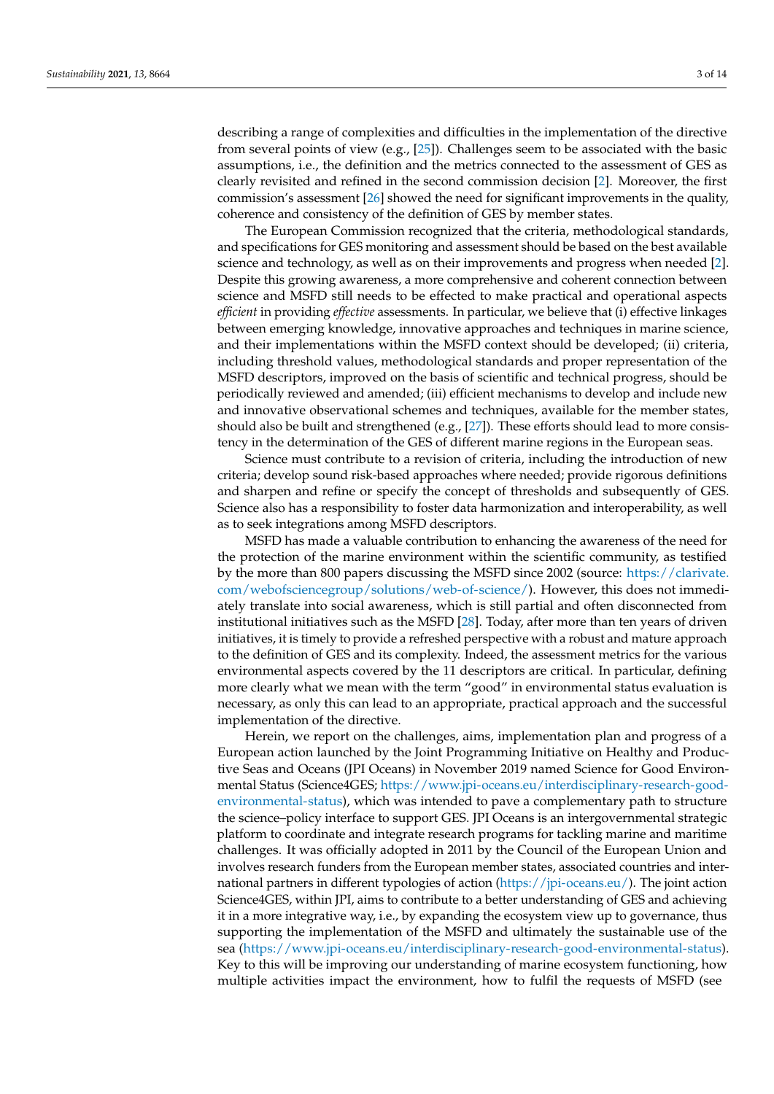describing a range of complexities and difficulties in the implementation of the directive from several points of view (e.g., [\[25\]](#page-12-1)). Challenges seem to be associated with the basic assumptions, i.e., the definition and the metrics connected to the assessment of GES as clearly revisited and refined in the second commission decision [\[2\]](#page-11-1). Moreover, the first commission's assessment [\[26\]](#page-12-2) showed the need for significant improvements in the quality, coherence and consistency of the definition of GES by member states.

The European Commission recognized that the criteria, methodological standards, and specifications for GES monitoring and assessment should be based on the best available science and technology, as well as on their improvements and progress when needed [\[2\]](#page-11-1). Despite this growing awareness, a more comprehensive and coherent connection between science and MSFD still needs to be effected to make practical and operational aspects *efficient* in providing *effective* assessments. In particular, we believe that (i) effective linkages between emerging knowledge, innovative approaches and techniques in marine science, and their implementations within the MSFD context should be developed; (ii) criteria, including threshold values, methodological standards and proper representation of the MSFD descriptors, improved on the basis of scientific and technical progress, should be periodically reviewed and amended; (iii) efficient mechanisms to develop and include new and innovative observational schemes and techniques, available for the member states, should also be built and strengthened (e.g.,  $[27]$ ). These efforts should lead to more consistency in the determination of the GES of different marine regions in the European seas.

Science must contribute to a revision of criteria, including the introduction of new criteria; develop sound risk-based approaches where needed; provide rigorous definitions and sharpen and refine or specify the concept of thresholds and subsequently of GES. Science also has a responsibility to foster data harmonization and interoperability, as well as to seek integrations among MSFD descriptors.

MSFD has made a valuable contribution to enhancing the awareness of the need for the protection of the marine environment within the scientific community, as testified by the more than 800 papers discussing the MSFD since 2002 (source: [https://clarivate.](https://clarivate.com/webofsciencegroup/solutions/web-of-science/) [com/webofsciencegroup/solutions/web-of-science/\)](https://clarivate.com/webofsciencegroup/solutions/web-of-science/). However, this does not immediately translate into social awareness, which is still partial and often disconnected from institutional initiatives such as the MSFD [\[28\]](#page-12-4). Today, after more than ten years of driven initiatives, it is timely to provide a refreshed perspective with a robust and mature approach to the definition of GES and its complexity. Indeed, the assessment metrics for the various environmental aspects covered by the 11 descriptors are critical. In particular, defining more clearly what we mean with the term "good" in environmental status evaluation is necessary, as only this can lead to an appropriate, practical approach and the successful implementation of the directive.

Herein, we report on the challenges, aims, implementation plan and progress of a European action launched by the Joint Programming Initiative on Healthy and Productive Seas and Oceans (JPI Oceans) in November 2019 named Science for Good Environmental Status (Science4GES; [https://www.jpi-oceans.eu/interdisciplinary-research-good](https://www.jpi-oceans.eu/interdisciplinary-research-good-environmental-status)[environmental-status\)](https://www.jpi-oceans.eu/interdisciplinary-research-good-environmental-status), which was intended to pave a complementary path to structure the science–policy interface to support GES. JPI Oceans is an intergovernmental strategic platform to coordinate and integrate research programs for tackling marine and maritime challenges. It was officially adopted in 2011 by the Council of the European Union and involves research funders from the European member states, associated countries and international partners in different typologies of action [\(https://jpi-oceans.eu/\)](https://jpi-oceans.eu/). The joint action Science4GES, within JPI, aims to contribute to a better understanding of GES and achieving it in a more integrative way, i.e., by expanding the ecosystem view up to governance, thus supporting the implementation of the MSFD and ultimately the sustainable use of the sea [\(https://www.jpi-oceans.eu/interdisciplinary-research-good-environmental-status\)](https://www.jpi-oceans.eu/interdisciplinary-research-good-environmental-status). Key to this will be improving our understanding of marine ecosystem functioning, how multiple activities impact the environment, how to fulfil the requests of MSFD (see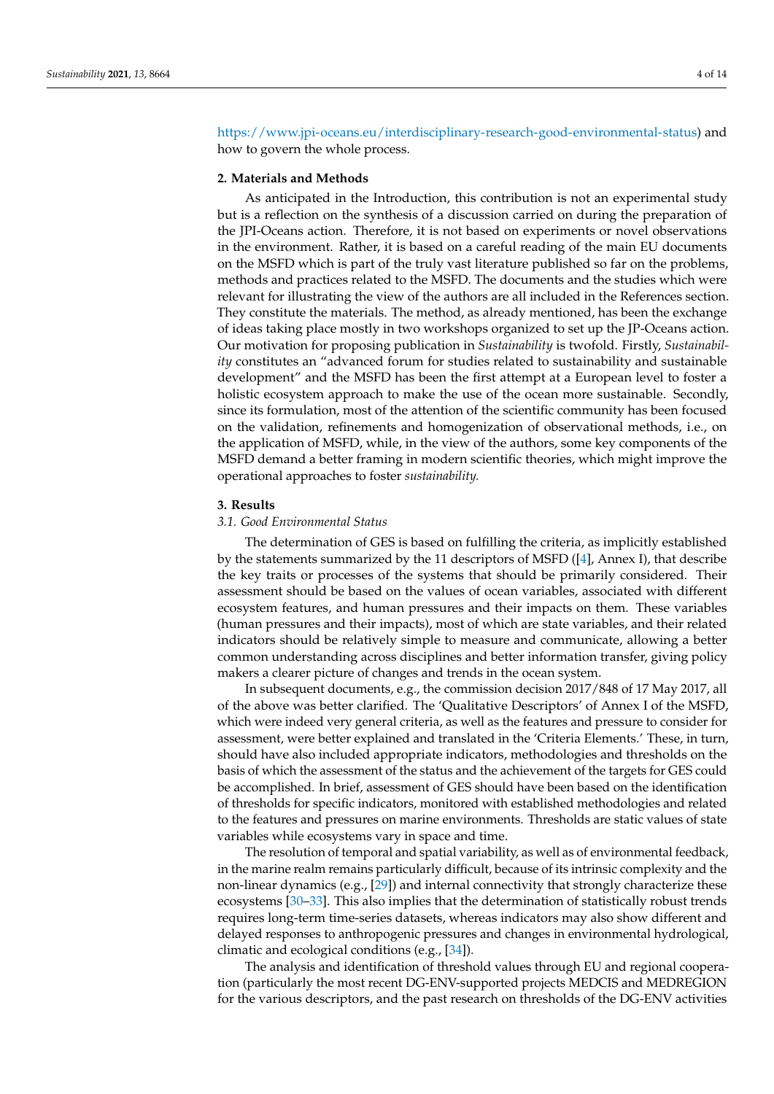[https://www.jpi-oceans.eu/interdisciplinary-research-good-environmental-status\)](https://www.jpi-oceans.eu/interdisciplinary-research-good-environmental-status) and how to govern the whole process.

#### **2. Materials and Methods**

As anticipated in the Introduction, this contribution is not an experimental study but is a reflection on the synthesis of a discussion carried on during the preparation of the JPI-Oceans action. Therefore, it is not based on experiments or novel observations in the environment. Rather, it is based on a careful reading of the main EU documents on the MSFD which is part of the truly vast literature published so far on the problems, methods and practices related to the MSFD. The documents and the studies which were relevant for illustrating the view of the authors are all included in the References section. They constitute the materials. The method, as already mentioned, has been the exchange of ideas taking place mostly in two workshops organized to set up the JP-Oceans action. Our motivation for proposing publication in *Sustainability* is twofold. Firstly, *Sustainability* constitutes an "advanced forum for studies related to sustainability and sustainable development" and the MSFD has been the first attempt at a European level to foster a holistic ecosystem approach to make the use of the ocean more sustainable. Secondly, since its formulation, most of the attention of the scientific community has been focused on the validation, refinements and homogenization of observational methods, i.e., on the application of MSFD, while, in the view of the authors, some key components of the MSFD demand a better framing in modern scientific theories, which might improve the operational approaches to foster *sustainability.*

#### **3. Results**

# *3.1. Good Environmental Status*

The determination of GES is based on fulfilling the criteria, as implicitly established by the statements summarized by the 11 descriptors of MSFD ([\[4\]](#page-11-3), Annex I), that describe the key traits or processes of the systems that should be primarily considered. Their assessment should be based on the values of ocean variables, associated with different ecosystem features, and human pressures and their impacts on them. These variables (human pressures and their impacts), most of which are state variables, and their related indicators should be relatively simple to measure and communicate, allowing a better common understanding across disciplines and better information transfer, giving policy makers a clearer picture of changes and trends in the ocean system.

In subsequent documents, e.g., the commission decision 2017/848 of 17 May 2017, all of the above was better clarified. The 'Qualitative Descriptors' of Annex I of the MSFD, which were indeed very general criteria, as well as the features and pressure to consider for assessment, were better explained and translated in the 'Criteria Elements.' These, in turn, should have also included appropriate indicators, methodologies and thresholds on the basis of which the assessment of the status and the achievement of the targets for GES could be accomplished. In brief, assessment of GES should have been based on the identification of thresholds for specific indicators, monitored with established methodologies and related to the features and pressures on marine environments. Thresholds are static values of state variables while ecosystems vary in space and time.

The resolution of temporal and spatial variability, as well as of environmental feedback, in the marine realm remains particularly difficult, because of its intrinsic complexity and the non-linear dynamics (e.g., [\[29\]](#page-12-5)) and internal connectivity that strongly characterize these ecosystems [\[30](#page-12-6)[–33\]](#page-12-7). This also implies that the determination of statistically robust trends requires long-term time-series datasets, whereas indicators may also show different and delayed responses to anthropogenic pressures and changes in environmental hydrological, climatic and ecological conditions (e.g., [\[34\]](#page-12-8)).

The analysis and identification of threshold values through EU and regional cooperation (particularly the most recent DG-ENV-supported projects MEDCIS and MEDREGION for the various descriptors, and the past research on thresholds of the DG-ENV activities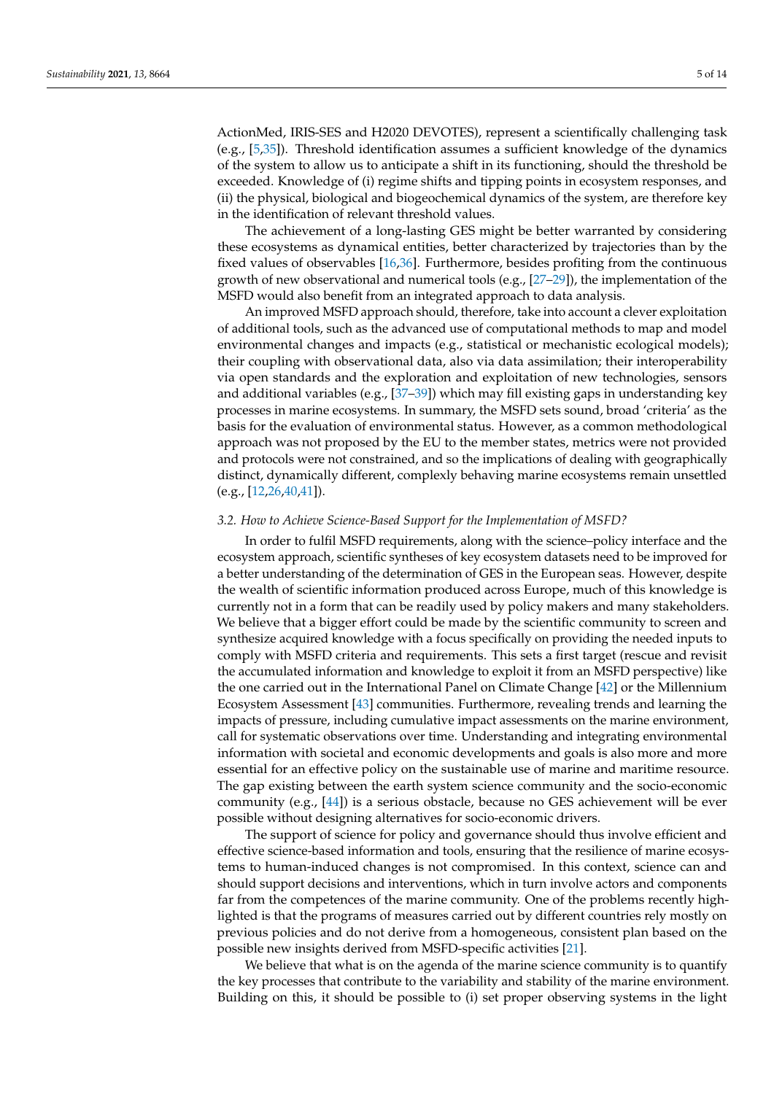ActionMed, IRIS-SES and H2020 DEVOTES), represent a scientifically challenging task (e.g., [\[5,](#page-11-4)[35\]](#page-12-9)). Threshold identification assumes a sufficient knowledge of the dynamics of the system to allow us to anticipate a shift in its functioning, should the threshold be exceeded. Knowledge of (i) regime shifts and tipping points in ecosystem responses, and (ii) the physical, biological and biogeochemical dynamics of the system, are therefore key in the identification of relevant threshold values.

The achievement of a long-lasting GES might be better warranted by considering these ecosystems as dynamical entities, better characterized by trajectories than by the fixed values of observables [\[16](#page-11-13)[,36\]](#page-12-10). Furthermore, besides profiting from the continuous growth of new observational and numerical tools (e.g., [\[27](#page-12-3)[–29\]](#page-12-5)), the implementation of the MSFD would also benefit from an integrated approach to data analysis.

An improved MSFD approach should, therefore, take into account a clever exploitation of additional tools, such as the advanced use of computational methods to map and model environmental changes and impacts (e.g., statistical or mechanistic ecological models); their coupling with observational data, also via data assimilation; their interoperability via open standards and the exploration and exploitation of new technologies, sensors and additional variables (e.g., [\[37](#page-12-11)[–39\]](#page-12-12)) which may fill existing gaps in understanding key processes in marine ecosystems. In summary, the MSFD sets sound, broad 'criteria' as the basis for the evaluation of environmental status. However, as a common methodological approach was not proposed by the EU to the member states, metrics were not provided and protocols were not constrained, and so the implications of dealing with geographically distinct, dynamically different, complexly behaving marine ecosystems remain unsettled (e.g., [\[12](#page-11-11)[,26](#page-12-2)[,40,](#page-12-13)[41\]](#page-12-14)).

#### *3.2. How to Achieve Science-Based Support for the Implementation of MSFD?*

In order to fulfil MSFD requirements, along with the science–policy interface and the ecosystem approach, scientific syntheses of key ecosystem datasets need to be improved for a better understanding of the determination of GES in the European seas. However, despite the wealth of scientific information produced across Europe, much of this knowledge is currently not in a form that can be readily used by policy makers and many stakeholders. We believe that a bigger effort could be made by the scientific community to screen and synthesize acquired knowledge with a focus specifically on providing the needed inputs to comply with MSFD criteria and requirements. This sets a first target (rescue and revisit the accumulated information and knowledge to exploit it from an MSFD perspective) like the one carried out in the International Panel on Climate Change [\[42\]](#page-12-15) or the Millennium Ecosystem Assessment [\[43\]](#page-12-16) communities. Furthermore, revealing trends and learning the impacts of pressure, including cumulative impact assessments on the marine environment, call for systematic observations over time. Understanding and integrating environmental information with societal and economic developments and goals is also more and more essential for an effective policy on the sustainable use of marine and maritime resource. The gap existing between the earth system science community and the socio-economic community (e.g., [\[44\]](#page-12-17)) is a serious obstacle, because no GES achievement will be ever possible without designing alternatives for socio-economic drivers.

The support of science for policy and governance should thus involve efficient and effective science-based information and tools, ensuring that the resilience of marine ecosystems to human-induced changes is not compromised. In this context, science can and should support decisions and interventions, which in turn involve actors and components far from the competences of the marine community. One of the problems recently highlighted is that the programs of measures carried out by different countries rely mostly on previous policies and do not derive from a homogeneous, consistent plan based on the possible new insights derived from MSFD-specific activities [\[21\]](#page-11-15).

We believe that what is on the agenda of the marine science community is to quantify the key processes that contribute to the variability and stability of the marine environment. Building on this, it should be possible to (i) set proper observing systems in the light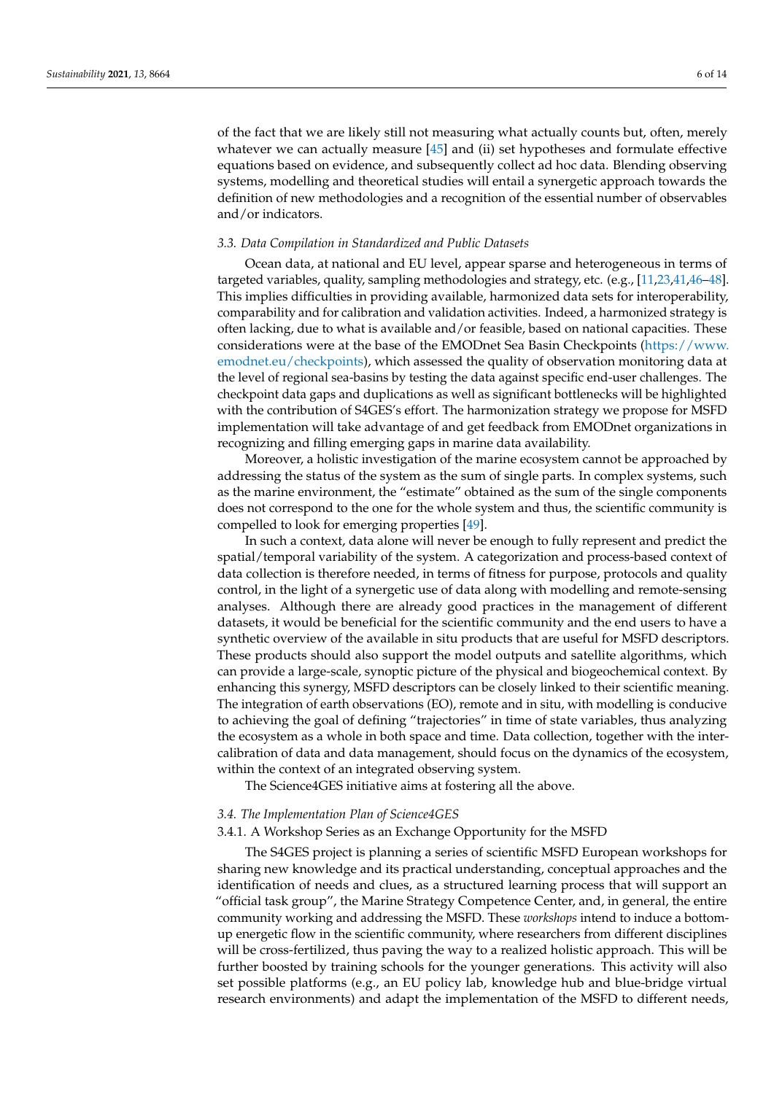of the fact that we are likely still not measuring what actually counts but, often, merely whatever we can actually measure [\[45\]](#page-12-18) and (ii) set hypotheses and formulate effective equations based on evidence, and subsequently collect ad hoc data. Blending observing systems, modelling and theoretical studies will entail a synergetic approach towards the definition of new methodologies and a recognition of the essential number of observables and/or indicators.

#### *3.3. Data Compilation in Standardized and Public Datasets*

Ocean data, at national and EU level, appear sparse and heterogeneous in terms of targeted variables, quality, sampling methodologies and strategy, etc. (e.g., [\[11,](#page-11-10)[23,](#page-11-17)[41,](#page-12-14)[46](#page-12-19)[–48\]](#page-12-20). This implies difficulties in providing available, harmonized data sets for interoperability, comparability and for calibration and validation activities. Indeed, a harmonized strategy is often lacking, due to what is available and/or feasible, based on national capacities. These considerations were at the base of the EMODnet Sea Basin Checkpoints [\(https://www.](https://www.emodnet.eu/checkpoints) [emodnet.eu/checkpoints\)](https://www.emodnet.eu/checkpoints), which assessed the quality of observation monitoring data at the level of regional sea-basins by testing the data against specific end-user challenges. The checkpoint data gaps and duplications as well as significant bottlenecks will be highlighted with the contribution of S4GES's effort. The harmonization strategy we propose for MSFD implementation will take advantage of and get feedback from EMODnet organizations in recognizing and filling emerging gaps in marine data availability.

Moreover, a holistic investigation of the marine ecosystem cannot be approached by addressing the status of the system as the sum of single parts. In complex systems, such as the marine environment, the "estimate" obtained as the sum of the single components does not correspond to the one for the whole system and thus, the scientific community is compelled to look for emerging properties [\[49\]](#page-12-21).

In such a context, data alone will never be enough to fully represent and predict the spatial/temporal variability of the system. A categorization and process-based context of data collection is therefore needed, in terms of fitness for purpose, protocols and quality control, in the light of a synergetic use of data along with modelling and remote-sensing analyses. Although there are already good practices in the management of different datasets, it would be beneficial for the scientific community and the end users to have a synthetic overview of the available in situ products that are useful for MSFD descriptors. These products should also support the model outputs and satellite algorithms, which can provide a large-scale, synoptic picture of the physical and biogeochemical context. By enhancing this synergy, MSFD descriptors can be closely linked to their scientific meaning. The integration of earth observations (EO), remote and in situ, with modelling is conducive to achieving the goal of defining "trajectories" in time of state variables, thus analyzing the ecosystem as a whole in both space and time. Data collection, together with the intercalibration of data and data management, should focus on the dynamics of the ecosystem, within the context of an integrated observing system.

The Science4GES initiative aims at fostering all the above.

#### *3.4. The Implementation Plan of Science4GES*

## 3.4.1. A Workshop Series as an Exchange Opportunity for the MSFD

The S4GES project is planning a series of scientific MSFD European workshops for sharing new knowledge and its practical understanding, conceptual approaches and the identification of needs and clues, as a structured learning process that will support an "official task group", the Marine Strategy Competence Center, and, in general, the entire community working and addressing the MSFD. These *workshops* intend to induce a bottomup energetic flow in the scientific community, where researchers from different disciplines will be cross-fertilized, thus paving the way to a realized holistic approach. This will be further boosted by training schools for the younger generations. This activity will also set possible platforms (e.g., an EU policy lab, knowledge hub and blue-bridge virtual research environments) and adapt the implementation of the MSFD to different needs,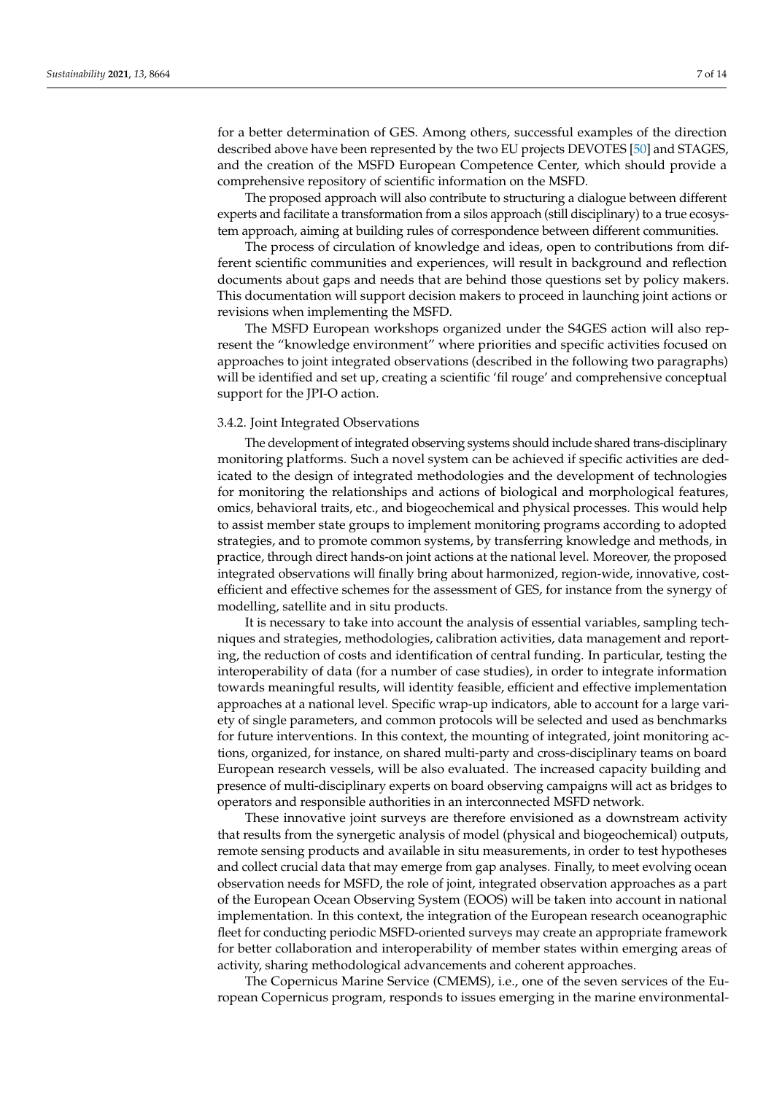for a better determination of GES. Among others, successful examples of the direction described above have been represented by the two EU projects DEVOTES [\[50\]](#page-13-0) and STAGES, and the creation of the MSFD European Competence Center, which should provide a comprehensive repository of scientific information on the MSFD.

The proposed approach will also contribute to structuring a dialogue between different experts and facilitate a transformation from a silos approach (still disciplinary) to a true ecosystem approach, aiming at building rules of correspondence between different communities.

The process of circulation of knowledge and ideas, open to contributions from different scientific communities and experiences, will result in background and reflection documents about gaps and needs that are behind those questions set by policy makers. This documentation will support decision makers to proceed in launching joint actions or revisions when implementing the MSFD.

The MSFD European workshops organized under the S4GES action will also represent the "knowledge environment" where priorities and specific activities focused on approaches to joint integrated observations (described in the following two paragraphs) will be identified and set up, creating a scientific 'fil rouge' and comprehensive conceptual support for the JPI-O action.

#### 3.4.2. Joint Integrated Observations

The development of integrated observing systems should include shared trans-disciplinary monitoring platforms. Such a novel system can be achieved if specific activities are dedicated to the design of integrated methodologies and the development of technologies for monitoring the relationships and actions of biological and morphological features, omics, behavioral traits, etc., and biogeochemical and physical processes. This would help to assist member state groups to implement monitoring programs according to adopted strategies, and to promote common systems, by transferring knowledge and methods, in practice, through direct hands-on joint actions at the national level. Moreover, the proposed integrated observations will finally bring about harmonized, region-wide, innovative, costefficient and effective schemes for the assessment of GES, for instance from the synergy of modelling, satellite and in situ products.

It is necessary to take into account the analysis of essential variables, sampling techniques and strategies, methodologies, calibration activities, data management and reporting, the reduction of costs and identification of central funding. In particular, testing the interoperability of data (for a number of case studies), in order to integrate information towards meaningful results, will identity feasible, efficient and effective implementation approaches at a national level. Specific wrap-up indicators, able to account for a large variety of single parameters, and common protocols will be selected and used as benchmarks for future interventions. In this context, the mounting of integrated, joint monitoring actions, organized, for instance, on shared multi-party and cross-disciplinary teams on board European research vessels, will be also evaluated. The increased capacity building and presence of multi-disciplinary experts on board observing campaigns will act as bridges to operators and responsible authorities in an interconnected MSFD network.

These innovative joint surveys are therefore envisioned as a downstream activity that results from the synergetic analysis of model (physical and biogeochemical) outputs, remote sensing products and available in situ measurements, in order to test hypotheses and collect crucial data that may emerge from gap analyses. Finally, to meet evolving ocean observation needs for MSFD, the role of joint, integrated observation approaches as a part of the European Ocean Observing System (EOOS) will be taken into account in national implementation. In this context, the integration of the European research oceanographic fleet for conducting periodic MSFD-oriented surveys may create an appropriate framework for better collaboration and interoperability of member states within emerging areas of activity, sharing methodological advancements and coherent approaches.

The Copernicus Marine Service (CMEMS), i.e., one of the seven services of the European Copernicus program, responds to issues emerging in the marine environmental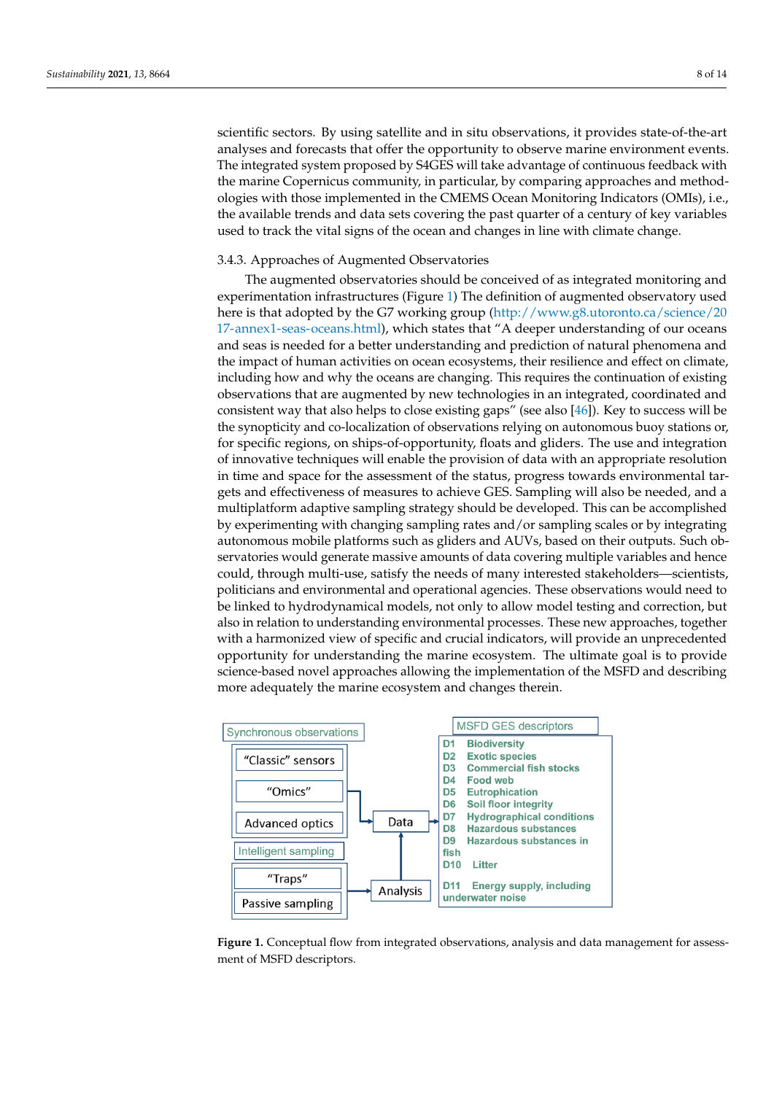scientific sectors. By using satellite and in situ observations, it provides state-of-the-art analyses and forecasts that offer the opportunity to observe marine environment events.<br>The interacted events agence of he CLES will take a dyantese of continuous for the describe The integrated system proposed by S4GES will take advantage of continuous feedback with the marine Copernicus community, in particular, by comparing approaches and methodologies with those implemented in the CMEMS Ocean Monitoring Indicators (OMIs), i.e., the available trends and data sets covering the past quarter of a century of key variables<br>temps, the oceans are defected in contract of the oceans are defenses in line oceans a linear to the oceans are used to track the vital signs of the ocean and changes in line with climate change.

The augmented observatories should be conceived of as integrated monitoring and

# 3.4.3. Approaches of Augmented Observatories

The augmented observatories should be conceived of as integrated monitoring and co experimentation infrastructures (Figure [1\)](#page-7-0) The definition of augmented observatory used Localization in the Galacteries (Figure 1) The definition of diginerated observatory disearch there is that adopted by the G7 working group [\(http://www.g8.utoronto.ca/science/20](http://www.g8.utoronto.ca/science/2017-annex1-seas-oceans.html) [17-annex1-seas-oceans.html\)](http://www.g8.utoronto.ca/science/2017-annex1-seas-oceans.html), which states that "A deeper understanding of our oceans and seas is needed for a better understanding and prediction of natural phenomena and<br> the impact of human activities on ocean ecosystems, their resilience and effect on climate, including how and why the oceans are changing. This requires the continuation of existing including how and why the oceans are changing. This requires the continuation of existing observations that are augmented by new technologies in an integrated, coordinated and consistent way that also helps to close existing gaps" (see also [\[46\]](#page-12-19)). Key to success will be developed by experience of the developed by experience of the accomplished by experience of the accomplished by experience of the synopticity and co-localization of observations relying on autonomous buoy stations or, for specific regions, on ships-of-opportunity, floats and gliders. The use and integration or specific regions, on ships-of-opportunity, floats and gliders. The use and integration of innovative techniques will enable the provision of data with an appropriate resolution in time and space for the assessment of the status, progress towards environmental targets and effectiveness of measures to achieve GES. Sampling will also be needed, and a gets and encelly exists of measures to achieve GES. Sampling will also be needed, and a multiplatform adaptive sampling strategy should be developed. This can be accomplished by experimenting with changing sampling rates and/or sampling scales or by integrating autonomous mobile platforms such as gliders and AUVs, based on their outputs. Such observatories would generate massive amounts of data covering multiple variables and hence servatories would generate massive amounts of data covering multiple variables and nence<br>could, through multi-use, satisfy the needs of many interested stakeholders—scientists, politicians and environmental and operational agencies. These observations would need to be linked to hydrodynamical models, not only to allow model testing and correction, but also in relation to understanding environmental processes. These new approaches, together also in relation to understanding environmental processes. These fiew approaches, together with a harmonized view of specific and crucial indicators, will provide an unprecedented opportunity for understanding the marine ecosystem. The ultimate goal is to provide science-based novel approaches allowing the implementation of the MSFD and describing more adequately the marine ecosystem and changes therein.

<span id="page-7-0"></span>

**Figure 1.** Conceptual flow from integrated observations, analysis and data management for assessment of MSFD descriptors.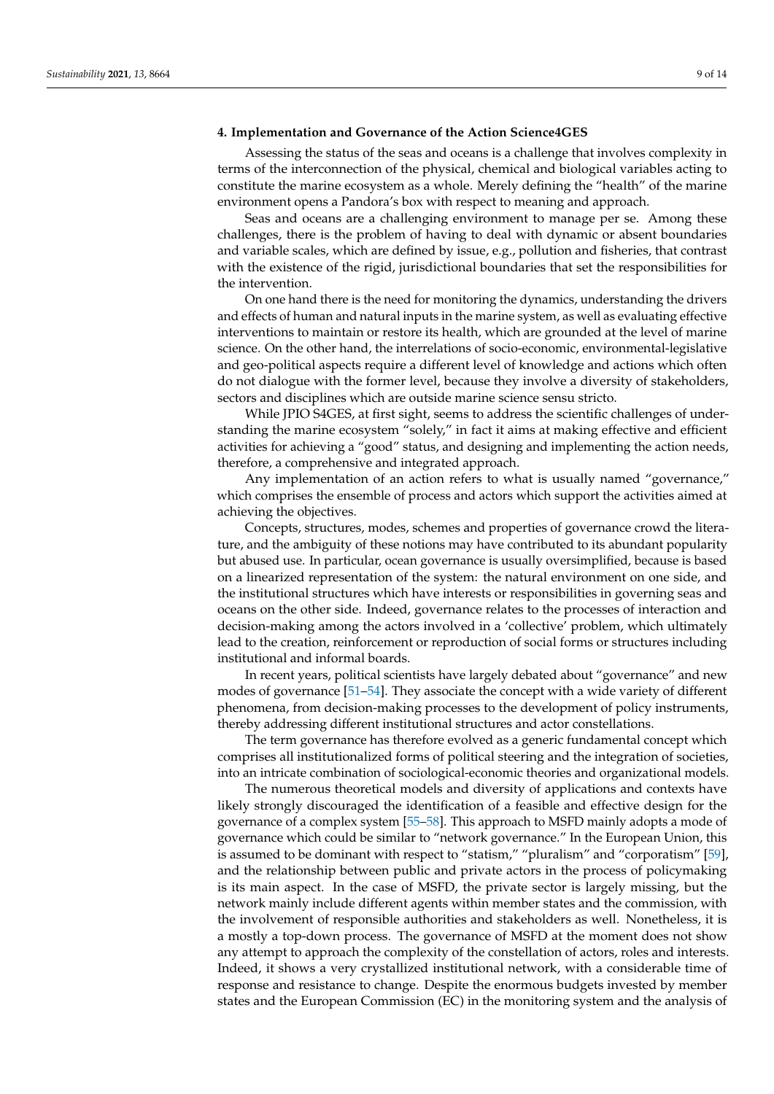#### **4. Implementation and Governance of the Action Science4GES**

Assessing the status of the seas and oceans is a challenge that involves complexity in terms of the interconnection of the physical, chemical and biological variables acting to constitute the marine ecosystem as a whole. Merely defining the "health" of the marine environment opens a Pandora's box with respect to meaning and approach.

Seas and oceans are a challenging environment to manage per se. Among these challenges, there is the problem of having to deal with dynamic or absent boundaries and variable scales, which are defined by issue, e.g., pollution and fisheries, that contrast with the existence of the rigid, jurisdictional boundaries that set the responsibilities for the intervention.

On one hand there is the need for monitoring the dynamics, understanding the drivers and effects of human and natural inputs in the marine system, as well as evaluating effective interventions to maintain or restore its health, which are grounded at the level of marine science. On the other hand, the interrelations of socio-economic, environmental-legislative and geo-political aspects require a different level of knowledge and actions which often do not dialogue with the former level, because they involve a diversity of stakeholders, sectors and disciplines which are outside marine science sensu stricto.

While JPIO S4GES, at first sight, seems to address the scientific challenges of understanding the marine ecosystem "solely," in fact it aims at making effective and efficient activities for achieving a "good" status, and designing and implementing the action needs, therefore, a comprehensive and integrated approach.

Any implementation of an action refers to what is usually named "governance," which comprises the ensemble of process and actors which support the activities aimed at achieving the objectives.

Concepts, structures, modes, schemes and properties of governance crowd the literature, and the ambiguity of these notions may have contributed to its abundant popularity but abused use. In particular, ocean governance is usually oversimplified, because is based on a linearized representation of the system: the natural environment on one side, and the institutional structures which have interests or responsibilities in governing seas and oceans on the other side. Indeed, governance relates to the processes of interaction and decision-making among the actors involved in a 'collective' problem, which ultimately lead to the creation, reinforcement or reproduction of social forms or structures including institutional and informal boards.

In recent years, political scientists have largely debated about "governance" and new modes of governance [\[51–](#page-13-1)[54\]](#page-13-2). They associate the concept with a wide variety of different phenomena, from decision-making processes to the development of policy instruments, thereby addressing different institutional structures and actor constellations.

The term governance has therefore evolved as a generic fundamental concept which comprises all institutionalized forms of political steering and the integration of societies, into an intricate combination of sociological-economic theories and organizational models.

The numerous theoretical models and diversity of applications and contexts have likely strongly discouraged the identification of a feasible and effective design for the governance of a complex system [\[55](#page-13-3)[–58\]](#page-13-4). This approach to MSFD mainly adopts a mode of governance which could be similar to "network governance." In the European Union, this is assumed to be dominant with respect to "statism," "pluralism" and "corporatism" [\[59\]](#page-13-5), and the relationship between public and private actors in the process of policymaking is its main aspect. In the case of MSFD, the private sector is largely missing, but the network mainly include different agents within member states and the commission, with the involvement of responsible authorities and stakeholders as well. Nonetheless, it is a mostly a top-down process. The governance of MSFD at the moment does not show any attempt to approach the complexity of the constellation of actors, roles and interests. Indeed, it shows a very crystallized institutional network, with a considerable time of response and resistance to change. Despite the enormous budgets invested by member states and the European Commission (EC) in the monitoring system and the analysis of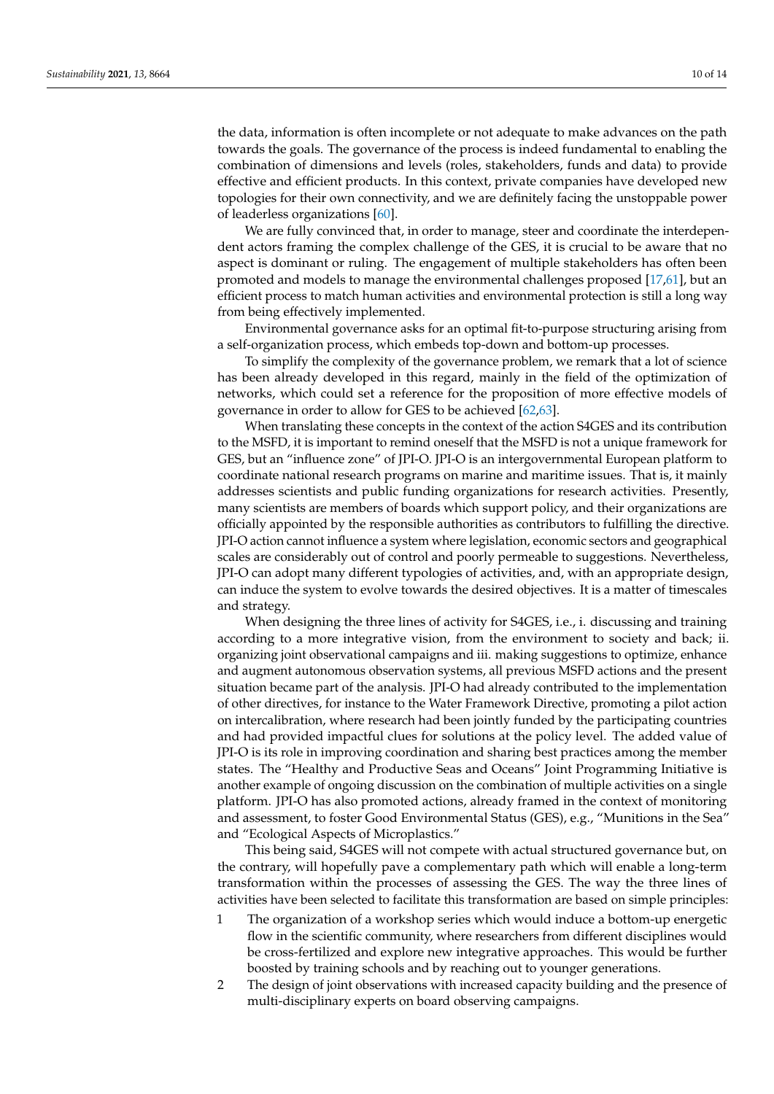the data, information is often incomplete or not adequate to make advances on the path towards the goals. The governance of the process is indeed fundamental to enabling the combination of dimensions and levels (roles, stakeholders, funds and data) to provide effective and efficient products. In this context, private companies have developed new topologies for their own connectivity, and we are definitely facing the unstoppable power of leaderless organizations [\[60\]](#page-13-6).

We are fully convinced that, in order to manage, steer and coordinate the interdependent actors framing the complex challenge of the GES, it is crucial to be aware that no aspect is dominant or ruling. The engagement of multiple stakeholders has often been promoted and models to manage the environmental challenges proposed [\[17](#page-11-14)[,61\]](#page-13-7), but an efficient process to match human activities and environmental protection is still a long way from being effectively implemented.

Environmental governance asks for an optimal fit-to-purpose structuring arising from a self-organization process, which embeds top-down and bottom-up processes.

To simplify the complexity of the governance problem, we remark that a lot of science has been already developed in this regard, mainly in the field of the optimization of networks, which could set a reference for the proposition of more effective models of governance in order to allow for GES to be achieved [\[62](#page-13-8)[,63\]](#page-13-9).

When translating these concepts in the context of the action S4GES and its contribution to the MSFD, it is important to remind oneself that the MSFD is not a unique framework for GES, but an "influence zone" of JPI-O. JPI-O is an intergovernmental European platform to coordinate national research programs on marine and maritime issues. That is, it mainly addresses scientists and public funding organizations for research activities. Presently, many scientists are members of boards which support policy, and their organizations are officially appointed by the responsible authorities as contributors to fulfilling the directive. JPI-O action cannot influence a system where legislation, economic sectors and geographical scales are considerably out of control and poorly permeable to suggestions. Nevertheless, JPI-O can adopt many different typologies of activities, and, with an appropriate design, can induce the system to evolve towards the desired objectives. It is a matter of timescales and strategy.

When designing the three lines of activity for S4GES, i.e., i. discussing and training according to a more integrative vision, from the environment to society and back; ii. organizing joint observational campaigns and iii. making suggestions to optimize, enhance and augment autonomous observation systems, all previous MSFD actions and the present situation became part of the analysis. JPI-O had already contributed to the implementation of other directives, for instance to the Water Framework Directive, promoting a pilot action on intercalibration, where research had been jointly funded by the participating countries and had provided impactful clues for solutions at the policy level. The added value of JPI-O is its role in improving coordination and sharing best practices among the member states. The "Healthy and Productive Seas and Oceans" Joint Programming Initiative is another example of ongoing discussion on the combination of multiple activities on a single platform. JPI-O has also promoted actions, already framed in the context of monitoring and assessment, to foster Good Environmental Status (GES), e.g., "Munitions in the Sea" and "Ecological Aspects of Microplastics."

This being said, S4GES will not compete with actual structured governance but, on the contrary, will hopefully pave a complementary path which will enable a long-term transformation within the processes of assessing the GES. The way the three lines of activities have been selected to facilitate this transformation are based on simple principles:

- 1 The organization of a workshop series which would induce a bottom-up energetic flow in the scientific community, where researchers from different disciplines would be cross-fertilized and explore new integrative approaches. This would be further boosted by training schools and by reaching out to younger generations.
- 2 The design of joint observations with increased capacity building and the presence of multi-disciplinary experts on board observing campaigns.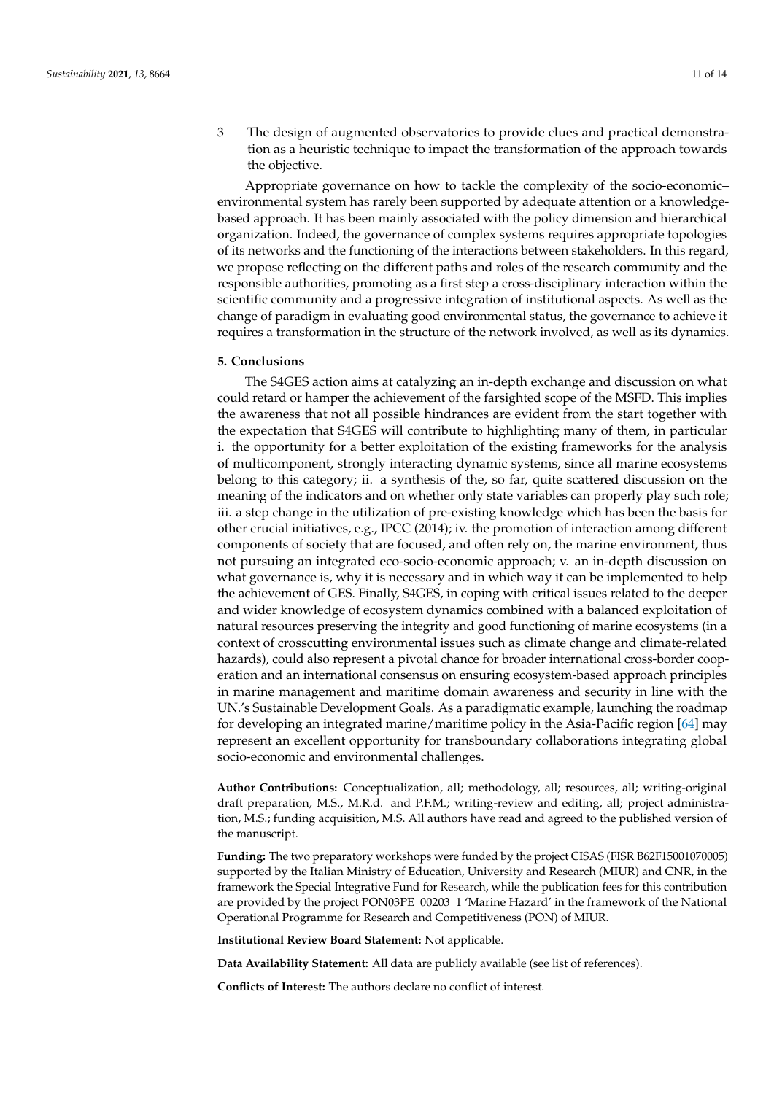3 The design of augmented observatories to provide clues and practical demonstration as a heuristic technique to impact the transformation of the approach towards the objective.

Appropriate governance on how to tackle the complexity of the socio-economic– environmental system has rarely been supported by adequate attention or a knowledgebased approach. It has been mainly associated with the policy dimension and hierarchical organization. Indeed, the governance of complex systems requires appropriate topologies of its networks and the functioning of the interactions between stakeholders. In this regard, we propose reflecting on the different paths and roles of the research community and the responsible authorities, promoting as a first step a cross-disciplinary interaction within the scientific community and a progressive integration of institutional aspects. As well as the change of paradigm in evaluating good environmental status, the governance to achieve it requires a transformation in the structure of the network involved, as well as its dynamics.

# **5. Conclusions**

The S4GES action aims at catalyzing an in-depth exchange and discussion on what could retard or hamper the achievement of the farsighted scope of the MSFD. This implies the awareness that not all possible hindrances are evident from the start together with the expectation that S4GES will contribute to highlighting many of them, in particular i. the opportunity for a better exploitation of the existing frameworks for the analysis of multicomponent, strongly interacting dynamic systems, since all marine ecosystems belong to this category; ii. a synthesis of the, so far, quite scattered discussion on the meaning of the indicators and on whether only state variables can properly play such role; iii. a step change in the utilization of pre-existing knowledge which has been the basis for other crucial initiatives, e.g., IPCC (2014); iv. the promotion of interaction among different components of society that are focused, and often rely on, the marine environment, thus not pursuing an integrated eco-socio-economic approach; v. an in-depth discussion on what governance is, why it is necessary and in which way it can be implemented to help the achievement of GES. Finally, S4GES, in coping with critical issues related to the deeper and wider knowledge of ecosystem dynamics combined with a balanced exploitation of natural resources preserving the integrity and good functioning of marine ecosystems (in a context of crosscutting environmental issues such as climate change and climate-related hazards), could also represent a pivotal chance for broader international cross-border cooperation and an international consensus on ensuring ecosystem-based approach principles in marine management and maritime domain awareness and security in line with the UN.'s Sustainable Development Goals. As a paradigmatic example, launching the roadmap for developing an integrated marine/maritime policy in the Asia-Pacific region [\[64\]](#page-13-10) may represent an excellent opportunity for transboundary collaborations integrating global socio-economic and environmental challenges.

**Author Contributions:** Conceptualization, all; methodology, all; resources, all; writing-original draft preparation, M.S., M.R.d. and P.F.M.; writing-review and editing, all; project administration, M.S.; funding acquisition, M.S. All authors have read and agreed to the published version of the manuscript.

**Funding:** The two preparatory workshops were funded by the project CISAS (FISR B62F15001070005) supported by the Italian Ministry of Education, University and Research (MIUR) and CNR, in the framework the Special Integrative Fund for Research, while the publication fees for this contribution are provided by the project PON03PE\_00203\_1 'Marine Hazard' in the framework of the National Operational Programme for Research and Competitiveness (PON) of MIUR.

**Institutional Review Board Statement:** Not applicable.

**Data Availability Statement:** All data are publicly available (see list of references).

**Conflicts of Interest:** The authors declare no conflict of interest.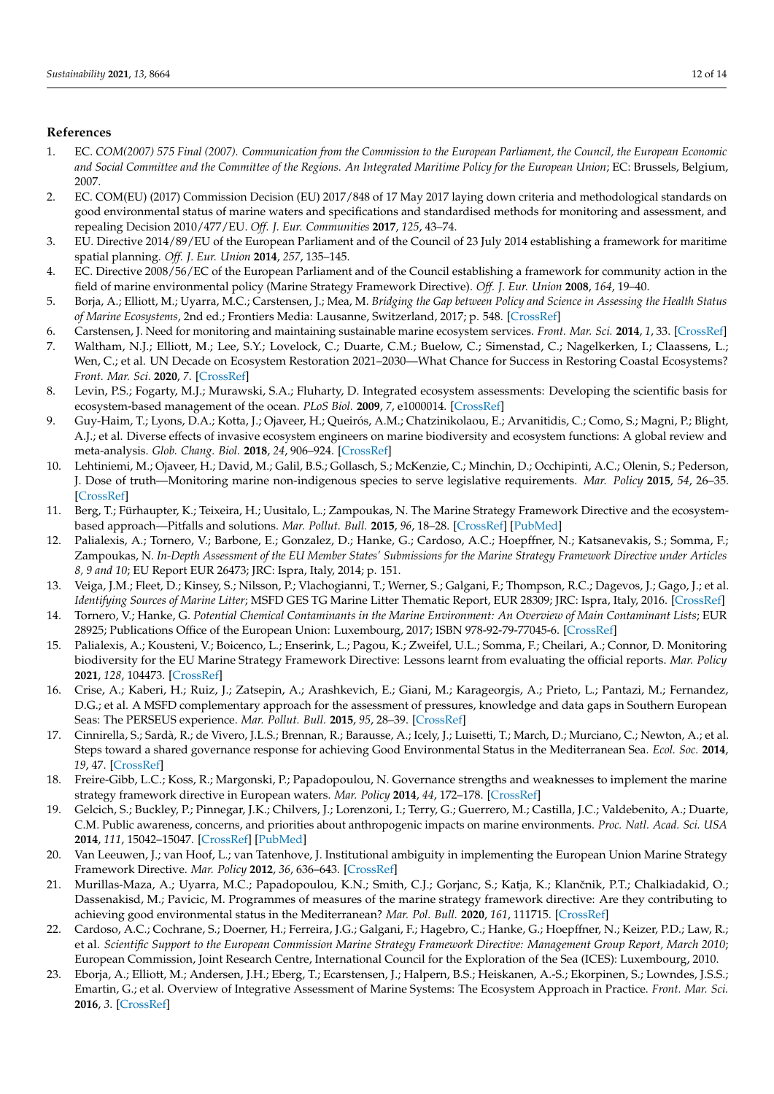## **References**

- <span id="page-11-0"></span>1. EC. *COM(2007) 575 Final (2007). Communication from the Commission to the European Parliament, the Council, the European Economic and Social Committee and the Committee of the Regions. An Integrated Maritime Policy for the European Union*; EC: Brussels, Belgium, 2007.
- <span id="page-11-1"></span>2. EC. COM(EU) (2017) Commission Decision (EU) 2017/848 of 17 May 2017 laying down criteria and methodological standards on good environmental status of marine waters and specifications and standardised methods for monitoring and assessment, and repealing Decision 2010/477/EU. *Off. J. Eur. Communities* **2017**, *125*, 43–74.
- <span id="page-11-2"></span>3. EU. Directive 2014/89/EU of the European Parliament and of the Council of 23 July 2014 establishing a framework for maritime spatial planning. *Off. J. Eur. Union* **2014**, *257*, 135–145.
- <span id="page-11-3"></span>4. EC. Directive 2008/56/EC of the European Parliament and of the Council establishing a framework for community action in the field of marine environmental policy (Marine Strategy Framework Directive). *Off. J. Eur. Union* **2008**, *164*, 19–40.
- <span id="page-11-4"></span>5. Borja, A.; Elliott, M.; Uyarra, M.C.; Carstensen, J.; Mea, M. *Bridging the Gap between Policy and Science in Assessing the Health Status of Marine Ecosystems*, 2nd ed.; Frontiers Media: Lausanne, Switzerland, 2017; p. 548. [\[CrossRef\]](http://doi.org/10.3389/978-2-88945-126-5)
- <span id="page-11-5"></span>6. Carstensen, J. Need for monitoring and maintaining sustainable marine ecosystem services. *Front. Mar. Sci.* **2014**, *1*, 33. [\[CrossRef\]](http://doi.org/10.3389/fmars.2014.00033)
- <span id="page-11-6"></span>7. Waltham, N.J.; Elliott, M.; Lee, S.Y.; Lovelock, C.; Duarte, C.M.; Buelow, C.; Simenstad, C.; Nagelkerken, I.; Claassens, L.; Wen, C.; et al. UN Decade on Ecosystem Restoration 2021–2030—What Chance for Success in Restoring Coastal Ecosystems? *Front. Mar. Sci.* **2020**, *7*. [\[CrossRef\]](http://doi.org/10.3389/fmars.2020.00071)
- <span id="page-11-7"></span>8. Levin, P.S.; Fogarty, M.J.; Murawski, S.A.; Fluharty, D. Integrated ecosystem assessments: Developing the scientific basis for ecosystem-based management of the ocean. *PLoS Biol.* **2009**, *7*, e1000014. [\[CrossRef\]](http://doi.org/10.1371/journal.pbio.1000014)
- <span id="page-11-8"></span>9. Guy-Haim, T.; Lyons, D.A.; Kotta, J.; Ojaveer, H.; Queirós, A.M.; Chatzinikolaou, E.; Arvanitidis, C.; Como, S.; Magni, P.; Blight, A.J.; et al. Diverse effects of invasive ecosystem engineers on marine biodiversity and ecosystem functions: A global review and meta-analysis. *Glob. Chang. Biol.* **2018**, *24*, 906–924. [\[CrossRef\]](http://doi.org/10.1111/gcb.14007)
- <span id="page-11-9"></span>10. Lehtiniemi, M.; Ojaveer, H.; David, M.; Galil, B.S.; Gollasch, S.; McKenzie, C.; Minchin, D.; Occhipinti, A.C.; Olenin, S.; Pederson, J. Dose of truth—Monitoring marine non-indigenous species to serve legislative requirements. *Mar. Policy* **2015**, *54*, 26–35. [\[CrossRef\]](http://doi.org/10.1016/j.marpol.2014.12.015)
- <span id="page-11-10"></span>11. Berg, T.; Fürhaupter, K.; Teixeira, H.; Uusitalo, L.; Zampoukas, N. The Marine Strategy Framework Directive and the ecosystembased approach—Pitfalls and solutions. *Mar. Pollut. Bull.* **2015**, *96*, 18–28. [\[CrossRef\]](http://doi.org/10.1016/j.marpolbul.2015.04.050) [\[PubMed\]](http://www.ncbi.nlm.nih.gov/pubmed/25956437)
- <span id="page-11-11"></span>12. Palialexis, A.; Tornero, V.; Barbone, E.; Gonzalez, D.; Hanke, G.; Cardoso, A.C.; Hoepffner, N.; Katsanevakis, S.; Somma, F.; Zampoukas, N. *In-Depth Assessment of the EU Member States' Submissions for the Marine Strategy Framework Directive under Articles 8, 9 and 10*; EU Report EUR 26473; JRC: Ispra, Italy, 2014; p. 151.
- 13. Veiga, J.M.; Fleet, D.; Kinsey, S.; Nilsson, P.; Vlachogianni, T.; Werner, S.; Galgani, F.; Thompson, R.C.; Dagevos, J.; Gago, J.; et al. *Identifying Sources of Marine Litter*; MSFD GES TG Marine Litter Thematic Report, EUR 28309; JRC: Ispra, Italy, 2016. [\[CrossRef\]](http://doi.org/10.2788/018068)
- 14. Tornero, V.; Hanke, G. *Potential Chemical Contaminants in the Marine Environment: An Overview of Main Contaminant Lists*; EUR 28925; Publications Office of the European Union: Luxembourg, 2017; ISBN 978-92-79-77045-6. [\[CrossRef\]](http://doi.org/10.2760/337288)
- <span id="page-11-12"></span>15. Palialexis, A.; Kousteni, V.; Boicenco, L.; Enserink, L.; Pagou, K.; Zweifel, U.L.; Somma, F.; Cheilari, A.; Connor, D. Monitoring biodiversity for the EU Marine Strategy Framework Directive: Lessons learnt from evaluating the official reports. *Mar. Policy* **2021**, *128*, 104473. [\[CrossRef\]](http://doi.org/10.1016/j.marpol.2021.104473)
- <span id="page-11-13"></span>16. Crise, A.; Kaberi, H.; Ruiz, J.; Zatsepin, A.; Arashkevich, E.; Giani, M.; Karageorgis, A.; Prieto, L.; Pantazi, M.; Fernandez, D.G.; et al. A MSFD complementary approach for the assessment of pressures, knowledge and data gaps in Southern European Seas: The PERSEUS experience. *Mar. Pollut. Bull.* **2015**, *95*, 28–39. [\[CrossRef\]](http://doi.org/10.1016/j.marpolbul.2015.03.024)
- <span id="page-11-14"></span>17. Cinnirella, S.; Sardà, R.; de Vivero, J.L.S.; Brennan, R.; Barausse, A.; Icely, J.; Luisetti, T.; March, D.; Murciano, C.; Newton, A.; et al. Steps toward a shared governance response for achieving Good Environmental Status in the Mediterranean Sea. *Ecol. Soc.* **2014**, *19*, 47. [\[CrossRef\]](http://doi.org/10.5751/ES-07065-190447)
- 18. Freire-Gibb, L.C.; Koss, R.; Margonski, P.; Papadopoulou, N. Governance strengths and weaknesses to implement the marine strategy framework directive in European waters. *Mar. Policy* **2014**, *44*, 172–178. [\[CrossRef\]](http://doi.org/10.1016/j.marpol.2013.08.025)
- 19. Gelcich, S.; Buckley, P.; Pinnegar, J.K.; Chilvers, J.; Lorenzoni, I.; Terry, G.; Guerrero, M.; Castilla, J.C.; Valdebenito, A.; Duarte, C.M. Public awareness, concerns, and priorities about anthropogenic impacts on marine environments. *Proc. Natl. Acad. Sci. USA* **2014**, *111*, 15042–15047. [\[CrossRef\]](http://doi.org/10.1073/pnas.1417344111) [\[PubMed\]](http://www.ncbi.nlm.nih.gov/pubmed/25288740)
- 20. Van Leeuwen, J.; van Hoof, L.; van Tatenhove, J. Institutional ambiguity in implementing the European Union Marine Strategy Framework Directive. *Mar. Policy* **2012**, *36*, 636–643. [\[CrossRef\]](http://doi.org/10.1016/j.marpol.2011.10.007)
- <span id="page-11-15"></span>21. Murillas-Maza, A.; Uyarra, M.C.; Papadopoulou, K.N.; Smith, C.J.; Gorjanc, S.; Katja, K.; Klančnik, P.T.; Chalkiadakid, O.; Dassenakisd, M.; Pavicic, M. Programmes of measures of the marine strategy framework directive: Are they contributing to achieving good environmental status in the Mediterranean? *Mar. Pol. Bull.* **2020**, *161*, 111715. [\[CrossRef\]](http://doi.org/10.1016/j.marpolbul.2020.111715)
- <span id="page-11-16"></span>22. Cardoso, A.C.; Cochrane, S.; Doerner, H.; Ferreira, J.G.; Galgani, F.; Hagebro, C.; Hanke, G.; Hoepffner, N.; Keizer, P.D.; Law, R.; et al. *Scientific Support to the European Commission Marine Strategy Framework Directive: Management Group Report, March 2010*; European Commission, Joint Research Centre, International Council for the Exploration of the Sea (ICES): Luxembourg, 2010.
- <span id="page-11-17"></span>23. Eborja, A.; Elliott, M.; Andersen, J.H.; Eberg, T.; Ecarstensen, J.; Halpern, B.S.; Heiskanen, A.-S.; Ekorpinen, S.; Lowndes, J.S.S.; Emartin, G.; et al. Overview of Integrative Assessment of Marine Systems: The Ecosystem Approach in Practice. *Front. Mar. Sci.* **2016**, *3*. [\[CrossRef\]](http://doi.org/10.3389/fmars.2016.00020)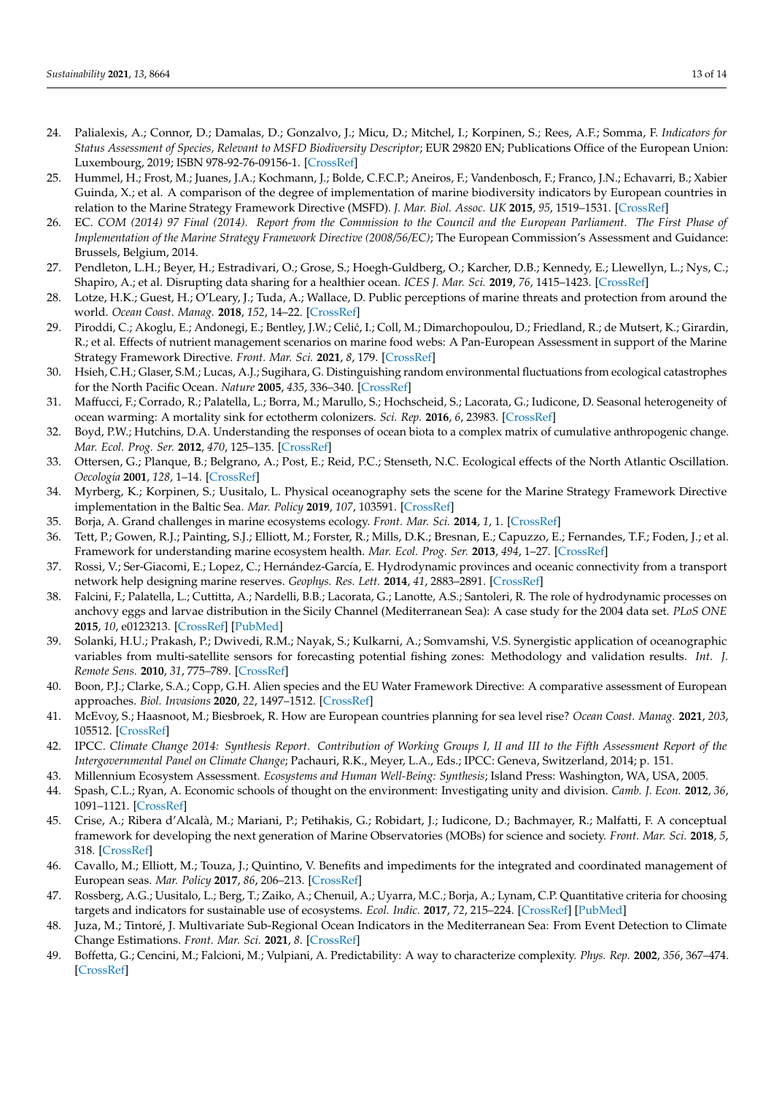- <span id="page-12-0"></span>24. Palialexis, A.; Connor, D.; Damalas, D.; Gonzalvo, J.; Micu, D.; Mitchel, I.; Korpinen, S.; Rees, A.F.; Somma, F. *Indicators for Status Assessment of Species, Relevant to MSFD Biodiversity Descriptor*; EUR 29820 EN; Publications Office of the European Union: Luxembourg, 2019; ISBN 978-92-76-09156-1. [\[CrossRef\]](http://doi.org/10.2760/282667)
- <span id="page-12-1"></span>25. Hummel, H.; Frost, M.; Juanes, J.A.; Kochmann, J.; Bolde, C.F.C.P.; Aneiros, F.; Vandenbosch, F.; Franco, J.N.; Echavarri, B.; Xabier Guinda, X.; et al. A comparison of the degree of implementation of marine biodiversity indicators by European countries in relation to the Marine Strategy Framework Directive (MSFD). *J. Mar. Biol. Assoc. UK* **2015**, *95*, 1519–1531. [\[CrossRef\]](http://doi.org/10.1017/S0025315415000235)
- <span id="page-12-2"></span>26. EC. *COM (2014) 97 Final (2014). Report from the Commission to the Council and the European Parliament. The First Phase of Implementation of the Marine Strategy Framework Directive (2008/56/EC)*; The European Commission's Assessment and Guidance: Brussels, Belgium, 2014.
- <span id="page-12-3"></span>27. Pendleton, L.H.; Beyer, H.; Estradivari, O.; Grose, S.; Hoegh-Guldberg, O.; Karcher, D.B.; Kennedy, E.; Llewellyn, L.; Nys, C.; Shapiro, A.; et al. Disrupting data sharing for a healthier ocean. *ICES J. Mar. Sci.* **2019**, *76*, 1415–1423. [\[CrossRef\]](http://doi.org/10.1093/icesjms/fsz068)
- <span id="page-12-4"></span>28. Lotze, H.K.; Guest, H.; O'Leary, J.; Tuda, A.; Wallace, D. Public perceptions of marine threats and protection from around the world. *Ocean Coast. Manag.* **2018**, *152*, 14–22. [\[CrossRef\]](http://doi.org/10.1016/j.ocecoaman.2017.11.004)
- <span id="page-12-5"></span>29. Piroddi, C.; Akoglu, E.; Andonegi, E.; Bentley, J.W.; Celić, I.; Coll, M.; Dimarchopoulou, D.; Friedland, R.; de Mutsert, K.; Girardin, R.; et al. Effects of nutrient management scenarios on marine food webs: A Pan-European Assessment in support of the Marine Strategy Framework Directive. *Front. Mar. Sci.* **2021**, *8*, 179. [\[CrossRef\]](http://doi.org/10.3389/fmars.2021.596797)
- <span id="page-12-6"></span>30. Hsieh, C.H.; Glaser, S.M.; Lucas, A.J.; Sugihara, G. Distinguishing random environmental fluctuations from ecological catastrophes for the North Pacific Ocean. *Nature* **2005**, *435*, 336–340. [\[CrossRef\]](http://doi.org/10.1038/nature03553)
- 31. Maffucci, F.; Corrado, R.; Palatella, L.; Borra, M.; Marullo, S.; Hochscheid, S.; Lacorata, G.; Iudicone, D. Seasonal heterogeneity of ocean warming: A mortality sink for ectotherm colonizers. *Sci. Rep.* **2016**, *6*, 23983. [\[CrossRef\]](http://doi.org/10.1038/srep23983)
- 32. Boyd, P.W.; Hutchins, D.A. Understanding the responses of ocean biota to a complex matrix of cumulative anthropogenic change. *Mar. Ecol. Prog. Ser.* **2012**, *470*, 125–135. [\[CrossRef\]](http://doi.org/10.3354/meps10121)
- <span id="page-12-7"></span>33. Ottersen, G.; Planque, B.; Belgrano, A.; Post, E.; Reid, P.C.; Stenseth, N.C. Ecological effects of the North Atlantic Oscillation. *Oecologia* **2001**, *128*, 1–14. [\[CrossRef\]](http://doi.org/10.1007/s004420100655)
- <span id="page-12-8"></span>34. Myrberg, K.; Korpinen, S.; Uusitalo, L. Physical oceanography sets the scene for the Marine Strategy Framework Directive implementation in the Baltic Sea. *Mar. Policy* **2019**, *107*, 103591. [\[CrossRef\]](http://doi.org/10.1016/j.marpol.2019.103591)
- <span id="page-12-9"></span>35. Borja, A. Grand challenges in marine ecosystems ecology. *Front. Mar. Sci.* **2014**, *1*, 1. [\[CrossRef\]](http://doi.org/10.3389/fmars.2014.00001)
- <span id="page-12-10"></span>36. Tett, P.; Gowen, R.J.; Painting, S.J.; Elliott, M.; Forster, R.; Mills, D.K.; Bresnan, E.; Capuzzo, E.; Fernandes, T.F.; Foden, J.; et al. Framework for understanding marine ecosystem health. *Mar. Ecol. Prog. Ser.* **2013**, *494*, 1–27. [\[CrossRef\]](http://doi.org/10.3354/meps10539)
- <span id="page-12-11"></span>37. Rossi, V.; Ser-Giacomi, E.; Lopez, C.; Hernández-García, E. Hydrodynamic provinces and oceanic connectivity from a transport network help designing marine reserves. *Geophys. Res. Lett.* **2014**, *41*, 2883–2891. [\[CrossRef\]](http://doi.org/10.1002/2014GL059540)
- 38. Falcini, F.; Palatella, L.; Cuttitta, A.; Nardelli, B.B.; Lacorata, G.; Lanotte, A.S.; Santoleri, R. The role of hydrodynamic processes on anchovy eggs and larvae distribution in the Sicily Channel (Mediterranean Sea): A case study for the 2004 data set. *PLoS ONE* **2015**, *10*, e0123213. [\[CrossRef\]](http://doi.org/10.1371/journal.pone.0123213) [\[PubMed\]](http://www.ncbi.nlm.nih.gov/pubmed/25915489)
- <span id="page-12-12"></span>39. Solanki, H.U.; Prakash, P.; Dwivedi, R.M.; Nayak, S.; Kulkarni, A.; Somvamshi, V.S. Synergistic application of oceanographic variables from multi-satellite sensors for forecasting potential fishing zones: Methodology and validation results. *Int. J. Remote Sens.* **2010**, *31*, 775–789. [\[CrossRef\]](http://doi.org/10.1080/01431160902897833)
- <span id="page-12-13"></span>40. Boon, P.J.; Clarke, S.A.; Copp, G.H. Alien species and the EU Water Framework Directive: A comparative assessment of European approaches. *Biol. Invasions* **2020**, *22*, 1497–1512. [\[CrossRef\]](http://doi.org/10.1007/s10530-020-02201-z)
- <span id="page-12-14"></span>41. McEvoy, S.; Haasnoot, M.; Biesbroek, R. How are European countries planning for sea level rise? *Ocean Coast. Manag.* **2021**, *203*, 105512. [\[CrossRef\]](http://doi.org/10.1016/j.ocecoaman.2020.105512)
- <span id="page-12-15"></span>42. IPCC. *Climate Change 2014: Synthesis Report. Contribution of Working Groups I, II and III to the Fifth Assessment Report of the Intergovernmental Panel on Climate Change*; Pachauri, R.K., Meyer, L.A., Eds.; IPCC: Geneva, Switzerland, 2014; p. 151.
- <span id="page-12-16"></span>43. Millennium Ecosystem Assessment. *Ecosystems and Human Well-Being: Synthesis*; Island Press: Washington, WA, USA, 2005.
- <span id="page-12-17"></span>44. Spash, C.L.; Ryan, A. Economic schools of thought on the environment: Investigating unity and division. *Camb. J. Econ.* **2012**, *36*, 1091–1121. [\[CrossRef\]](http://doi.org/10.1093/cje/bes023)
- <span id="page-12-18"></span>45. Crise, A.; Ribera d'Alcalà, M.; Mariani, P.; Petihakis, G.; Robidart, J.; Iudicone, D.; Bachmayer, R.; Malfatti, F. A conceptual framework for developing the next generation of Marine Observatories (MOBs) for science and society. *Front. Mar. Sci.* **2018**, *5*, 318. [\[CrossRef\]](http://doi.org/10.3389/fmars.2018.00318)
- <span id="page-12-19"></span>46. Cavallo, M.; Elliott, M.; Touza, J.; Quintino, V. Benefits and impediments for the integrated and coordinated management of European seas. *Mar. Policy* **2017**, *86*, 206–213. [\[CrossRef\]](http://doi.org/10.1016/j.marpol.2017.09.035)
- 47. Rossberg, A.G.; Uusitalo, L.; Berg, T.; Zaiko, A.; Chenuil, A.; Uyarra, M.C.; Borja, A.; Lynam, C.P. Quantitative criteria for choosing targets and indicators for sustainable use of ecosystems. *Ecol. Indic.* **2017**, *72*, 215–224. [\[CrossRef\]](http://doi.org/10.1016/j.ecolind.2016.08.005) [\[PubMed\]](http://www.ncbi.nlm.nih.gov/pubmed/28149199)
- <span id="page-12-20"></span>48. Juza, M.; Tintoré, J. Multivariate Sub-Regional Ocean Indicators in the Mediterranean Sea: From Event Detection to Climate Change Estimations. *Front. Mar. Sci.* **2021**, *8*. [\[CrossRef\]](http://doi.org/10.3389/fmars.2021.610589)
- <span id="page-12-21"></span>49. Boffetta, G.; Cencini, M.; Falcioni, M.; Vulpiani, A. Predictability: A way to characterize complexity. *Phys. Rep.* **2002**, *356*, 367–474. [\[CrossRef\]](http://doi.org/10.1016/S0370-1573(01)00025-4)